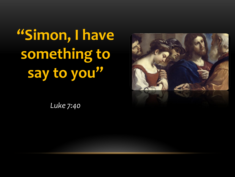**"Simon, I have something to say to you"**

*Luke 7:40*

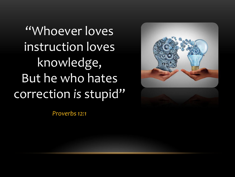"Whoever loves instruction loves knowledge, But he who hates correction *is* stupid"





*Proverbs 12:1*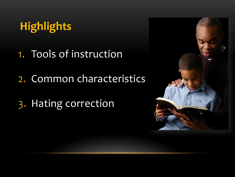# **Highlights**

- 1. Tools of instruction
- 2. Common characteristics
- 3. Hating correction

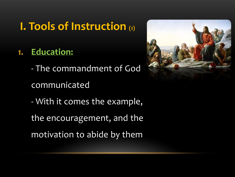### **I. Tools of Instruction (1)**

- **1. Education:**
	- The commandment of God
	- communicated
	- With it comes the example,
	- the encouragement, and the
	- motivation to abide by them

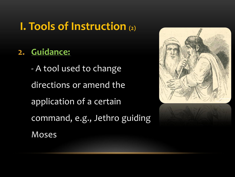## **I. Tools of Instruction (2)**

### **2. Guidance:**

- A tool used to change directions or amend the application of a certain command, e.g., Jethro guiding Moses

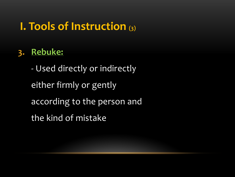### **I. Tools of Instruction (3)**

### **3. Rebuke:**

- Used directly or indirectly either firmly or gently according to the person and the kind of mistake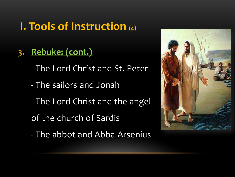## **I. Tools of Instruction (4)**

- **3. Rebuke: (cont.)**
	- The Lord Christ and St. Peter
	- The sailors and Jonah
	- The Lord Christ and the angel
	- of the church of Sardis
	- The abbot and Abba Arsenius

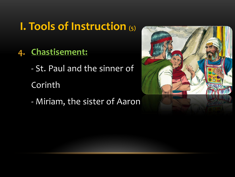### **I. Tools of Instruction (5)**

#### **4. Chastisement:**

- St. Paul and the sinner of

Corinth

- Miriam, the sister of Aaron

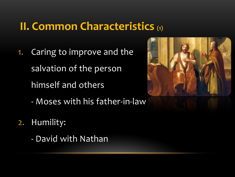### **II. Common Characteristics (1)**

- 1. Caring to improve and the salvation of the person himself and others
	- Moses with his father-in-law
- 2. Humility:
	- David with Nathan

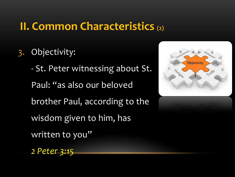### **II. Common Characteristics (2)**

3. Objectivity:

- St. Peter witnessing about St. Paul: "as also our beloved brother Paul, according to the wisdom given to him, has written to you"



*2 Peter 3:15*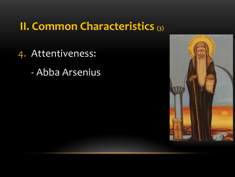### **II. Common Characteristics (3)**

- 4. Attentiveness:
	- Abba Arsenius

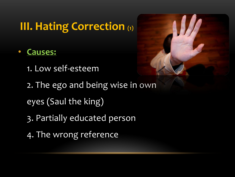## **III. Hating Correction (1)**

- **Causes:**
	- 1. Low self-esteem
	- 2. The ego and being wise in own
	- eyes (Saul the king)
	- 3. Partially educated person
	- 4. The wrong reference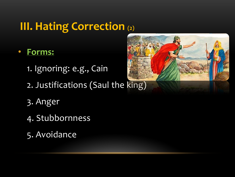# **III. Hating Correction (2)**

- **Forms:**
	- 1. Ignoring: e.g., Cain
	- 2. Justifications (Saul the king)
	- 3. Anger
	- 4. Stubbornness
	- 5. Avoidance